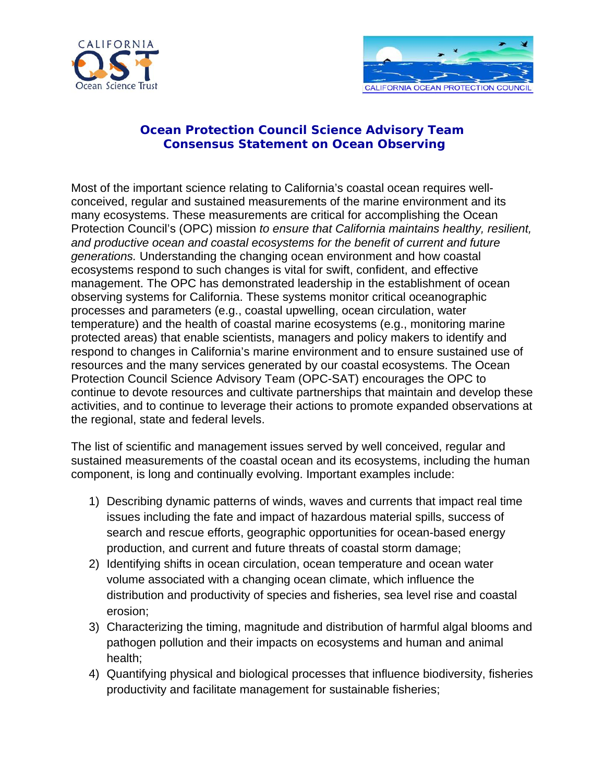



## **Ocean Protection Council Science Advisory Team Consensus Statement on Ocean Observing**

Most of the important science relating to California's coastal ocean requires wellconceived, regular and sustained measurements of the marine environment and its many ecosystems. These measurements are critical for accomplishing the Ocean Protection Council's (OPC) mission *to ensure that California maintains healthy, resilient, and productive ocean and coastal ecosystems for the benefit of current and future generations.* Understanding the changing ocean environment and how coastal ecosystems respond to such changes is vital for swift, confident, and effective management. The OPC has demonstrated leadership in the establishment of ocean observing systems for California. These systems monitor critical oceanographic processes and parameters (e.g., coastal upwelling, ocean circulation, water temperature) and the health of coastal marine ecosystems (e.g., monitoring marine protected areas) that enable scientists, managers and policy makers to identify and respond to changes in California's marine environment and to ensure sustained use of resources and the many services generated by our coastal ecosystems. The Ocean Protection Council Science Advisory Team (OPC-SAT) encourages the OPC to continue to devote resources and cultivate partnerships that maintain and develop these activities, and to continue to leverage their actions to promote expanded observations at the regional, state and federal levels.

The list of scientific and management issues served by well conceived, regular and sustained measurements of the coastal ocean and its ecosystems, including the human component, is long and continually evolving. Important examples include:

- 1) Describing dynamic patterns of winds, waves and currents that impact real time issues including the fate and impact of hazardous material spills, success of search and rescue efforts, geographic opportunities for ocean-based energy production, and current and future threats of coastal storm damage;
- 2) Identifying shifts in ocean circulation, ocean temperature and ocean water volume associated with a changing ocean climate, which influence the distribution and productivity of species and fisheries, sea level rise and coastal erosion;
- 3) Characterizing the timing, magnitude and distribution of harmful algal blooms and pathogen pollution and their impacts on ecosystems and human and animal health;
- 4) Quantifying physical and biological processes that influence biodiversity, fisheries productivity and facilitate management for sustainable fisheries;